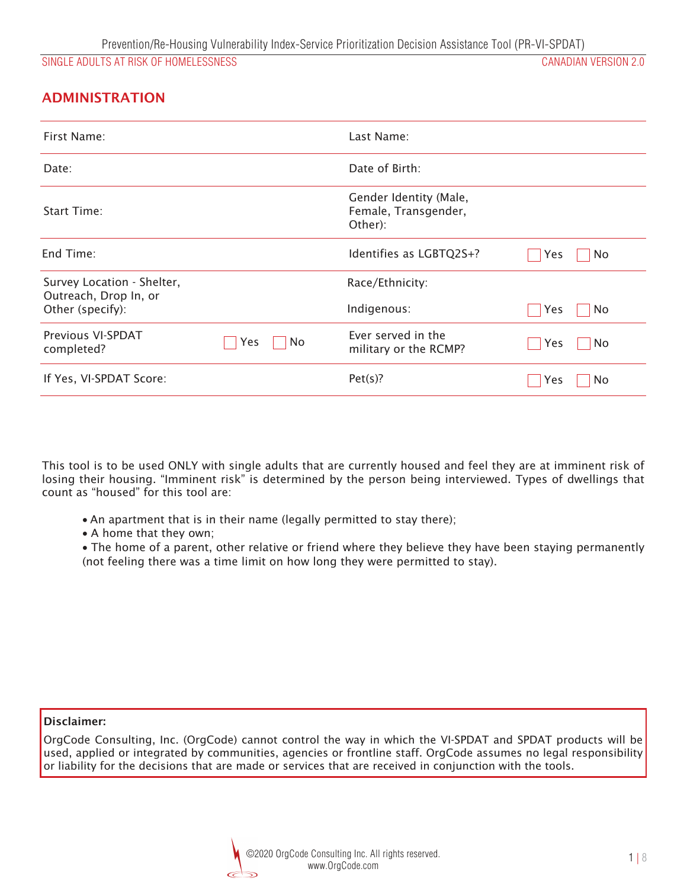## ADMINISTRATION

| First Name:                                         |                  | Last Name:                                                |                  |
|-----------------------------------------------------|------------------|-----------------------------------------------------------|------------------|
| Date:                                               |                  | Date of Birth:                                            |                  |
| Start Time:                                         |                  | Gender Identity (Male,<br>Female, Transgender,<br>Other): |                  |
| End Time:                                           |                  | Identifies as LGBTQ2S+?                                   | No<br><b>Yes</b> |
| Survey Location - Shelter,<br>Outreach, Drop In, or |                  | Race/Ethnicity:                                           |                  |
| Other (specify):                                    |                  | Indigenous:                                               | No<br>Yes        |
| Previous VI-SPDAT<br>completed?                     | No<br><b>Yes</b> | Ever served in the<br>military or the RCMP?               | No<br>Yes        |
| If Yes, VI-SPDAT Score:                             |                  | Pet(s)?                                                   | No<br>Yes        |

*This tool is to be used ONLY with single adults that are currently housed and feel they are at imminent risk of losing their housing. "Imminent risk" is determined by the person being interviewed. Types of dwellings that count as "housed" for this tool are:* 

- An apartment that is in their name (legally permitted to stay there);
- v *A home that they own;*

v *The home of a parent, other relative or friend where they believe they have been staying permanently (not feeling there was a time limit on how long they were permitted to stay).*

Disclaimer:

*OrgCode Consulting, Inc. (OrgCode) cannot control the way in which the VI-SPDAT and SPDAT products will be used, applied or integrated by communities, agencies or frontline staff. OrgCode assumes no legal responsibility or liability for the decisions that are made or services that are received in conjunction with the tools.* 

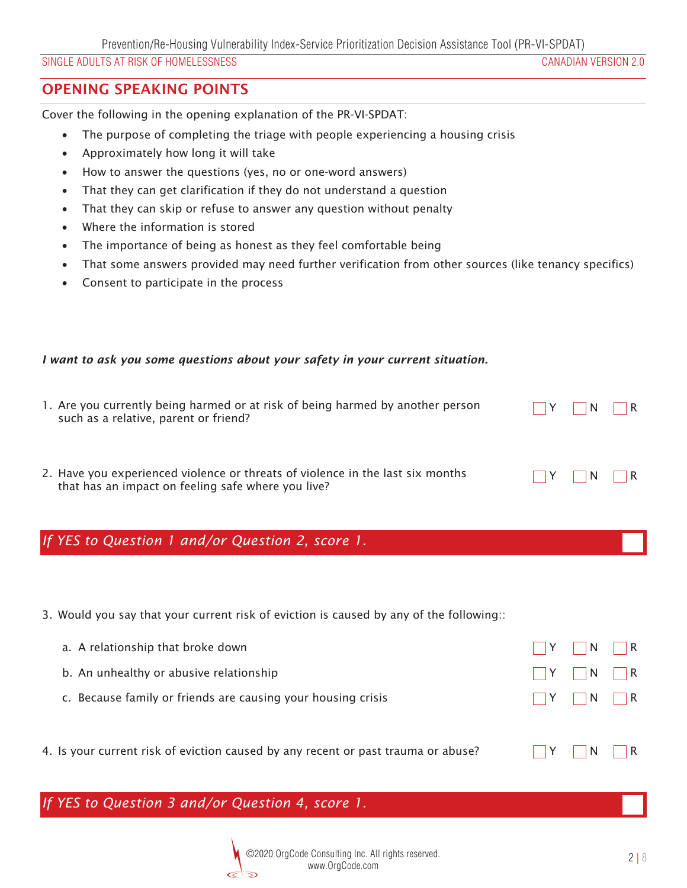## OPENING SPEAKING POINTS

*Cover the following in the opening explanation of the PR-VI-SPDAT:* 

- The purpose of completing the triage with people experiencing a housing crisis
- Approximately how long it will take
- How to answer the questions (yes, no or one-word answers)
- That they can get clarification if they do not understand a question
- That they can skip or refuse to answer any question without penalty
- **Where the information is stored**
- The importance of being as honest as they feel comfortable being
- That some answers provided may need further verification from other sources (like tenancy specifics)
- v *Consent to participate in the process*

#### *I want to ask you some questions about your safety in your current situation.*

| 1. Are you currently being harmed or at risk of being harmed by another person<br>such as a relative, parent or friend?              | $\Box Y$ $\Box N$ $\Box R$ |  |
|--------------------------------------------------------------------------------------------------------------------------------------|----------------------------|--|
| 2. Have you experienced violence or threats of violence in the last six months<br>that has an impact on feeling safe where you live? | $\Box Y$ $\Box N$ $\Box R$ |  |

## *If YES to Question 1 and/or Question 2, score 1.*

*3. Would you say that your current risk of eviction is caused by any of the following::*

| a. A relationship that broke down                                                 | $\vert$ $\vert$ Y $\vert$ $\vert$ N $\vert$ $\vert$ R |  |
|-----------------------------------------------------------------------------------|-------------------------------------------------------|--|
| b. An unhealthy or abusive relationship                                           | $\Box Y$ $\Box N$ $\vert$ R                           |  |
| c. Because family or friends are causing your housing crisis                      | $\Box Y$ $\Box N$ $\vert$ $\vert$ R                   |  |
|                                                                                   |                                                       |  |
| 4. Is your current risk of eviction caused by any recent or past trauma or abuse? | $\vert$ $\vert$ Y $\vert$ $\vert$ N $\vert$ $\vert$ R |  |

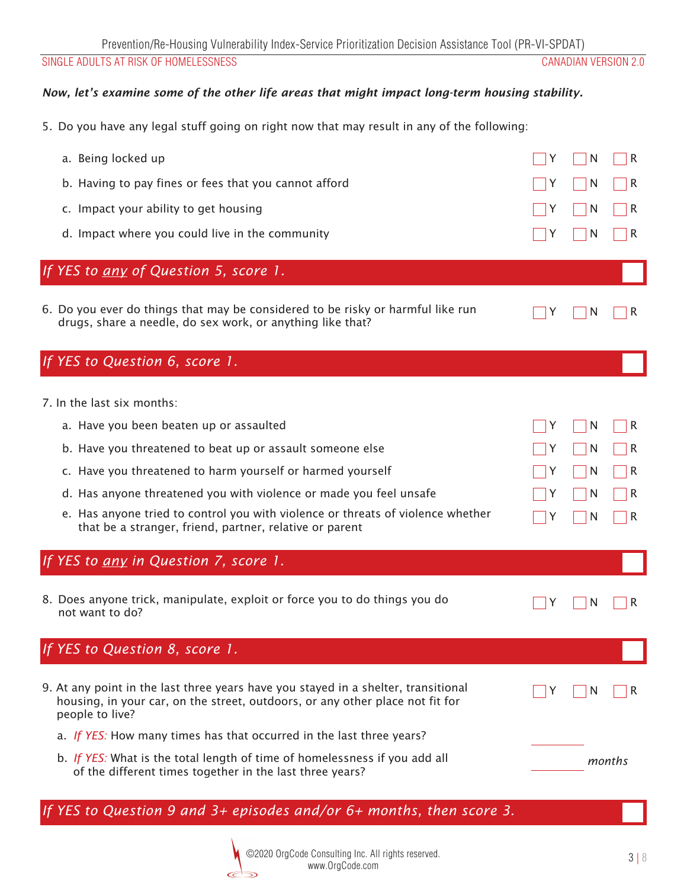#### *Now, let's examine some of the other life areas that might impact long-term housing stability.*

*5. Do you have any legal stuff going on right now that may result in any of the following:*

| a. Being locked up<br>b. Having to pay fines or fees that you cannot afford<br>c. Impact your ability to get housing<br>d. Impact where you could live in the community<br>If YES to any of Question 5, score 1.                                                                                                                                                                                                     | N<br>R<br>N<br>R<br>N<br>R<br>N<br>R           |
|----------------------------------------------------------------------------------------------------------------------------------------------------------------------------------------------------------------------------------------------------------------------------------------------------------------------------------------------------------------------------------------------------------------------|------------------------------------------------|
| 6. Do you ever do things that may be considered to be risky or harmful like run<br>drugs, share a needle, do sex work, or anything like that?                                                                                                                                                                                                                                                                        | R<br>N                                         |
| If YES to Question 6, score 1.                                                                                                                                                                                                                                                                                                                                                                                       |                                                |
| 7. In the last six months:<br>a. Have you been beaten up or assaulted<br>b. Have you threatened to beat up or assault someone else<br>c. Have you threatened to harm yourself or harmed yourself<br>d. Has anyone threatened you with violence or made you feel unsafe<br>e. Has anyone tried to control you with violence or threats of violence whether<br>that be a stranger, friend, partner, relative or parent | N<br>R<br>N<br>R<br>N<br>R<br>N<br>R<br>N<br>R |
| If YES to any in Question 7, score 1.                                                                                                                                                                                                                                                                                                                                                                                |                                                |
| 8. Does anyone trick, manipulate, exploit or force you to do things you do<br>not want to do?                                                                                                                                                                                                                                                                                                                        | R<br>N                                         |
| If YES to Question 8, score 1.                                                                                                                                                                                                                                                                                                                                                                                       |                                                |
| 9. At any point in the last three years have you stayed in a shelter, transitional<br>housing, in your car, on the street, outdoors, or any other place not fit for<br>people to live?                                                                                                                                                                                                                               | N<br>R                                         |
| a. If YES: How many times has that occurred in the last three years?<br>b. If YES: What is the total length of time of homelessness if you add all<br>of the different times together in the last three years?                                                                                                                                                                                                       | months                                         |

*If YES to Question 9 and 3+ episodes and/or 6+ months, then score 3.*

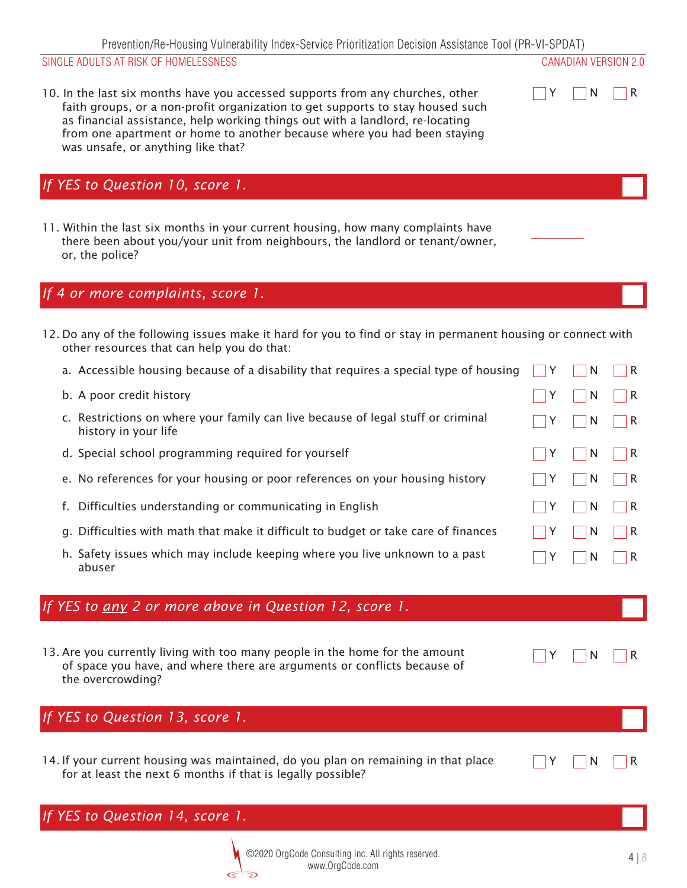*10. In the last six months have you accessed supports from any churches, other faith groups, or a non-profit organization to get supports to stay housed such as financial assistance, help working things out with a landlord, re-locating from one apartment or home to another because where you had been staying was unsafe, or anything like that?*



*11. Within the last six months in your current housing, how many complaints have there been about you/your unit from neighbours, the landlord or tenant/owner, or, the police?*

#### *If 4 or more complaints, score 1.*

- *12. Do any of the following issues make it hard for you to find or stay in permanent housing or connect with other resources that can help you do that:*
	- *a. Accessible housing because of a disability that requires a special type of housing c. Restrictions on where your family can live because of legal stuff or criminal history in your life e. No references for your housing or poor references on your housing history d. Special school programming required for yourself b. A poor credit history Y N R Y N R Y N R Y N R N* R *g. Difficulties with math that make it difficult to budget or take care of finances f. Difficulties understanding or communicating in English Y N R Y N R h. Safety issues which may include keeping where you live unknown to a past abuser Y N R*

## *If YES to any 2 or more above in Question 12, score 1.*

*13. Are you currently living with too many people in the home for the amount of space you have, and where there are arguments or conflicts because of the overcrowding?*

|  | ١l |  |
|--|----|--|
|  |    |  |

 *Y N R*

## *If YES to Question 13, score 1.*

*14. If your current housing was maintained, do you plan on remaining in that place for at least the next 6 months if that is legally possible?*



# *If YES to Question 14, score 1.*



 *Y N R*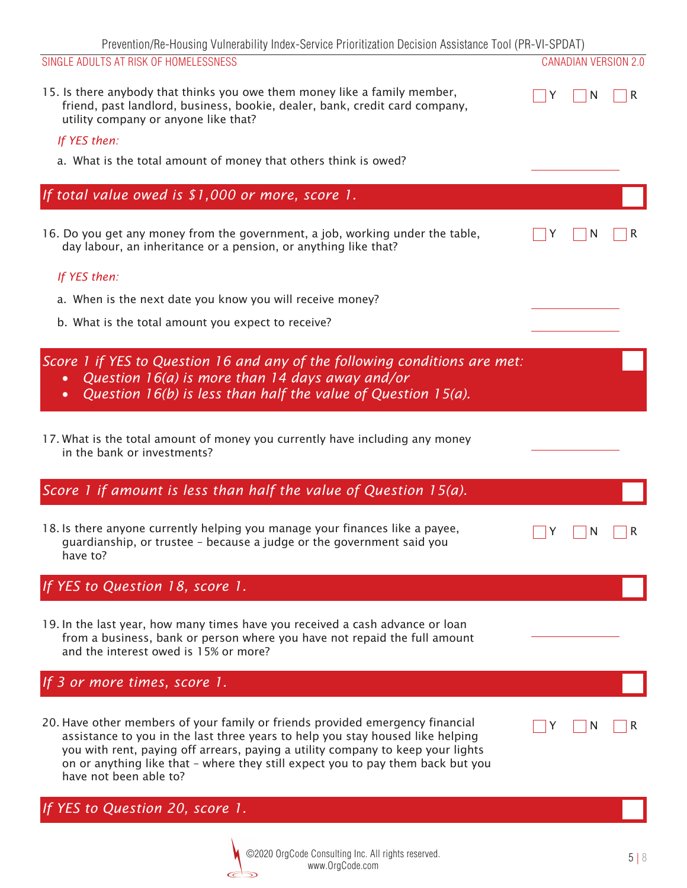| Prevention/Re-Housing Vulnerability Index-Service Prioritization Decision Assistance Tool (PR-VI-SPDAT)                                                                                                                                                                                                                                                         |                             |              |
|-----------------------------------------------------------------------------------------------------------------------------------------------------------------------------------------------------------------------------------------------------------------------------------------------------------------------------------------------------------------|-----------------------------|--------------|
| SINGLE ADULTS AT RISK OF HOMELESSNESS                                                                                                                                                                                                                                                                                                                           | <b>CANADIAN VERSION 2.0</b> |              |
| 15. Is there anybody that thinks you owe them money like a family member,<br>friend, past landlord, business, bookie, dealer, bank, credit card company,<br>utility company or anyone like that?                                                                                                                                                                | N                           | $\mathsf{R}$ |
| If YES then:                                                                                                                                                                                                                                                                                                                                                    |                             |              |
| a. What is the total amount of money that others think is owed?                                                                                                                                                                                                                                                                                                 |                             |              |
|                                                                                                                                                                                                                                                                                                                                                                 |                             |              |
| If total value owed is \$1,000 or more, score 1.                                                                                                                                                                                                                                                                                                                |                             |              |
|                                                                                                                                                                                                                                                                                                                                                                 |                             |              |
| 16. Do you get any money from the government, a job, working under the table,<br>day labour, an inheritance or a pension, or anything like that?                                                                                                                                                                                                                | N                           |              |
| If YES then:                                                                                                                                                                                                                                                                                                                                                    |                             |              |
| a. When is the next date you know you will receive money?                                                                                                                                                                                                                                                                                                       |                             |              |
| b. What is the total amount you expect to receive?                                                                                                                                                                                                                                                                                                              |                             |              |
|                                                                                                                                                                                                                                                                                                                                                                 |                             |              |
| Score 1 if YES to Question 16 and any of the following conditions are met:<br>Question $16(a)$ is more than 14 days away and/or<br>$\bullet$<br>Question $16(b)$ is less than half the value of Question $15(a)$ .<br>$\bullet$                                                                                                                                 |                             |              |
| 17. What is the total amount of money you currently have including any money<br>in the bank or investments?                                                                                                                                                                                                                                                     |                             |              |
| Score 1 if amount is less than half the value of Question 15(a).                                                                                                                                                                                                                                                                                                |                             |              |
| 18. Is there anyone currently helping you manage your finances like a payee,<br>guardianship, or trustee - because a judge or the government said you<br>have to?                                                                                                                                                                                               | N                           | R            |
| If YES to Question 18, score 1.                                                                                                                                                                                                                                                                                                                                 |                             |              |
| 19. In the last year, how many times have you received a cash advance or loan<br>from a business, bank or person where you have not repaid the full amount<br>and the interest owed is 15% or more?                                                                                                                                                             |                             |              |
| If 3 or more times, score 1.                                                                                                                                                                                                                                                                                                                                    |                             |              |
| 20. Have other members of your family or friends provided emergency financial<br>assistance to you in the last three years to help you stay housed like helping<br>you with rent, paying off arrears, paying a utility company to keep your lights<br>on or anything like that - where they still expect you to pay them back but you<br>have not been able to? |                             |              |

*If YES to Question 20, score 1.*

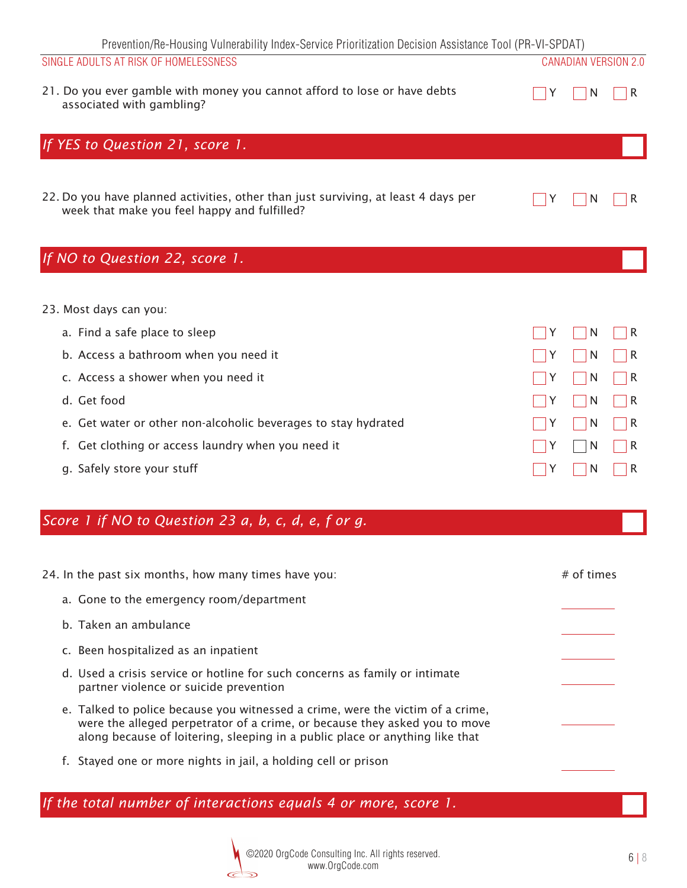| Prevention/Re-Housing Vulnerability Index-Service Prioritization Decision Assistance Tool (PR-VI-SPDAT)<br>SINGLE ADULTS AT RISK OF HOMELESSNESS                                                                                                                                                                |                  | <b>CANADIAN VERSION 2.0</b>     |                                 |
|-----------------------------------------------------------------------------------------------------------------------------------------------------------------------------------------------------------------------------------------------------------------------------------------------------------------|------------------|---------------------------------|---------------------------------|
| 21. Do you ever gamble with money you cannot afford to lose or have debts<br>associated with gambling?                                                                                                                                                                                                          | Y                | N                               | R                               |
| If YES to Question 21, score 1.                                                                                                                                                                                                                                                                                 |                  |                                 |                                 |
| 22. Do you have planned activities, other than just surviving, at least 4 days per<br>week that make you feel happy and fulfilled?                                                                                                                                                                              | Y                | N                               | R                               |
| If NO to Question 22, score 1.                                                                                                                                                                                                                                                                                  |                  |                                 |                                 |
| 23. Most days can you:<br>a. Find a safe place to sleep<br>b. Access a bathroom when you need it<br>c. Access a shower when you need it<br>d. Get food<br>e. Get water or other non-alcoholic beverages to stay hydrated<br>Get clothing or access laundry when you need it<br>f.<br>g. Safely store your stuff | Y<br>Y<br>Y<br>Y | N<br>N<br>N<br>N<br>N<br>N<br>N | R<br>R<br>R<br>R<br>R<br>R<br>R |
| Score 1 if NO to Question 23 a, b, c, d, e, f or g.                                                                                                                                                                                                                                                             |                  |                                 |                                 |
| 24. In the past six months, how many times have you:<br>a. Gone to the emergency room/department<br>b. Taken an ambulance<br>c. Been hospitalized as an inpatient<br>d. Used a crisis service or hotline for such concerns as family or intimate<br>partner violence or suicide prevention                      |                  | $#$ of times                    |                                 |
| e. Talked to police because you witnessed a crime, were the victim of a crime,<br>were the alleged perpetrator of a crime, or because they asked you to move<br>along because of loitering, sleeping in a public place or anything like that<br>f. Stayed one or more nights in jail, a holding cell or prison  |                  |                                 |                                 |
|                                                                                                                                                                                                                                                                                                                 |                  |                                 |                                 |

*If the total number of interactions equals 4 or more, score 1.*

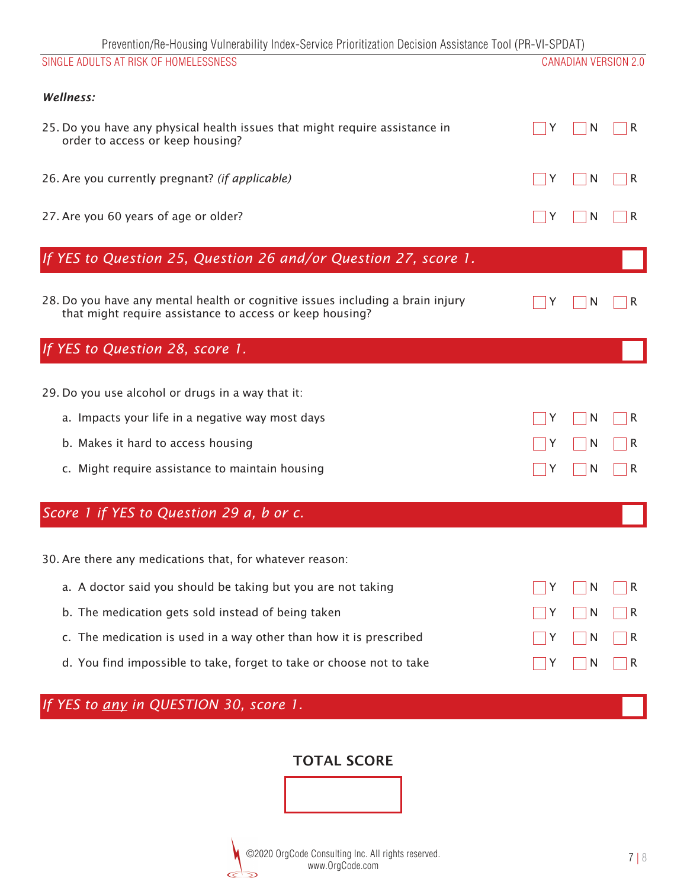| Prevention/Re-Housing Vulnerability Index-Service Prioritization Decision Assistance Tool (PR-VI-SPDAT)                                    |   |   |                             |
|--------------------------------------------------------------------------------------------------------------------------------------------|---|---|-----------------------------|
| SINGLE ADULTS AT RISK OF HOMELESSNESS                                                                                                      |   |   | <b>CANADIAN VERSION 2.0</b> |
| Wellness:                                                                                                                                  |   |   |                             |
| 25. Do you have any physical health issues that might require assistance in<br>order to access or keep housing?                            |   | N |                             |
| 26. Are you currently pregnant? (if applicable)                                                                                            | Y | N | R                           |
| 27. Are you 60 years of age or older?                                                                                                      |   | N |                             |
| If YES to Question 25, Question 26 and/or Question 27, score 1.                                                                            |   |   |                             |
| 28. Do you have any mental health or cognitive issues including a brain injury<br>that might require assistance to access or keep housing? |   | N |                             |
| If YES to Question 28, score 1.                                                                                                            |   |   |                             |
| 29. Do you use alcohol or drugs in a way that it:                                                                                          |   |   |                             |
| a. Impacts your life in a negative way most days                                                                                           |   | N | R                           |
| b. Makes it hard to access housing                                                                                                         |   | N | R                           |
| c. Might require assistance to maintain housing                                                                                            |   | N | R                           |
| Score 1 if YES to Question 29 a, b or c.                                                                                                   |   |   |                             |
| 30. Are there any medications that, for whatever reason:                                                                                   |   |   |                             |
| a. A doctor said you should be taking but you are not taking                                                                               | Y | N | R                           |
| b. The medication gets sold instead of being taken                                                                                         |   | N | R                           |
| c. The medication is used in a way other than how it is prescribed                                                                         |   | N | R                           |
| d. You find impossible to take, forget to take or choose not to take                                                                       |   | N | R                           |
| If YES to any in QUESTION 30, score 1.                                                                                                     |   |   |                             |

# TOTAL SCORE